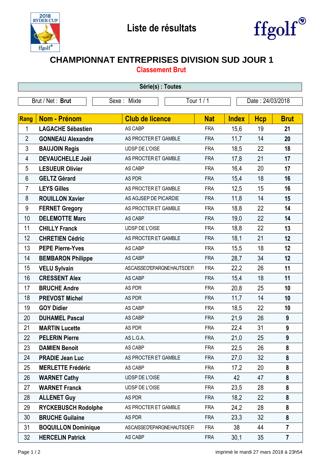



## **CHAMPIONNAT ENTREPRISES DIVISION SUD JOUR 1**

**Classement Brut**

| Série(s) : Toutes |                            |                                   |            |              |                  |                  |  |  |  |  |
|-------------------|----------------------------|-----------------------------------|------------|--------------|------------------|------------------|--|--|--|--|
| Brut / Net: Brut  |                            | Sexe: Mixte                       | Tour 1 / 1 |              | Date: 24/03/2018 |                  |  |  |  |  |
|                   |                            |                                   |            |              |                  |                  |  |  |  |  |
| Rang              | Nom - Prénom               | <b>Club de licence</b>            | <b>Nat</b> | <b>Index</b> | <b>Hcp</b>       | <b>Brut</b>      |  |  |  |  |
| 1                 | <b>LAGACHE Sébastien</b>   | AS CABP                           | <b>FRA</b> | 15,6         | 19               | 21               |  |  |  |  |
| $\overline{2}$    | <b>GONNEAU Alexandre</b>   | AS PROCTER ET GAMBLE              | <b>FRA</b> | 11,7         | 14               | 20               |  |  |  |  |
| 3                 | <b>BAUJOIN Regis</b>       | <b>UDSP DE L'OISE</b>             | <b>FRA</b> | 18,5         | 22               | 18               |  |  |  |  |
| 4                 | <b>DEVAUCHELLE Joël</b>    | AS PROCTER ET GAMBLE              | <b>FRA</b> | 17,8         | 21               | 17               |  |  |  |  |
| 5                 | <b>LESUEUR Olivier</b>     | AS CABP                           | <b>FRA</b> | 16,4         | 20               | 17               |  |  |  |  |
| 6                 | <b>GELTZ Gérard</b>        | AS PDR                            | <b>FRA</b> | 15,4         | 18               | 16               |  |  |  |  |
| $\overline{7}$    | <b>LEYS Gilles</b>         | AS PROCTER ET GAMBLE              | <b>FRA</b> | 12,5         | 15               | 16               |  |  |  |  |
| 8                 | <b>ROUILLON Xavier</b>     | AS AGJSEP DE PICARDIE             | <b>FRA</b> | 11,8         | 14               | 15               |  |  |  |  |
| 9                 | <b>FERNET Gregory</b>      | AS PROCTER ET GAMBLE              | <b>FRA</b> | 18,8         | 22               | 14               |  |  |  |  |
| 10                | <b>DELEMOTTE Marc</b>      | AS CABP                           | <b>FRA</b> | 19,0         | 22               | 14               |  |  |  |  |
| 11                | <b>CHILLY Franck</b>       | UDSP DE L'OISE                    | <b>FRA</b> | 18,8         | 22               | 13               |  |  |  |  |
| 12                | <b>CHRETIEN Cédric</b>     | AS PROCTER ET GAMBLE              | <b>FRA</b> | 18,1         | 21               | 12               |  |  |  |  |
| 13                | <b>PEPE Pierre-Yves</b>    | AS CABP                           | <b>FRA</b> | 15,5         | 18               | 12               |  |  |  |  |
| 14                | <b>BEMBARON Philippe</b>   | AS CABP                           | <b>FRA</b> | 28,7         | 34               | 12               |  |  |  |  |
| 15                | <b>VELU Sylvain</b>        | <b>ASCAISSED'EPARGNEHAUTSDEFI</b> | <b>FRA</b> | 22,2         | 26               | 11               |  |  |  |  |
| 16                | <b>CRESSENT Alex</b>       | AS CABP                           | <b>FRA</b> | 15,4         | 18               | 11               |  |  |  |  |
| 17                | <b>BRUCHE Andre</b>        | AS PDR                            | <b>FRA</b> | 20,8         | 25               | 10               |  |  |  |  |
| 18                | <b>PREVOST Michel</b>      | AS PDR                            | <b>FRA</b> | 11,7         | 14               | 10               |  |  |  |  |
| 19                | <b>GOY Didier</b>          | AS CABP                           | <b>FRA</b> | 18,5         | 22               | 10               |  |  |  |  |
| 20                | <b>DUHAMEL Pascal</b>      | AS CABP                           | <b>FRA</b> | 21,9         | 26               | 9                |  |  |  |  |
| 21                | <b>MARTIN Lucette</b>      | AS PDR                            | <b>FRA</b> | 22,4         | 31               | $\boldsymbol{9}$ |  |  |  |  |
| 22                | <b>PELERIN Pierre</b>      | AS L.G.A.                         | <b>FRA</b> | 21,0         | 25               | 9                |  |  |  |  |
| 23                | <b>DAMIEN Benoit</b>       | AS CABP                           | <b>FRA</b> | 22,5         | 26               | 8                |  |  |  |  |
| 24                | <b>PRADIE Jean Luc</b>     | AS PROCTER ET GAMBLE              | <b>FRA</b> | 27,0         | 32               | $\pmb{8}$        |  |  |  |  |
| 25                | <b>MERLETTE Frédéric</b>   | AS CABP                           | <b>FRA</b> | 17,2         | 20               | 8                |  |  |  |  |
| 26                | <b>WARNET Cathy</b>        | UDSP DE L'OISE                    | <b>FRA</b> | 42           | 47               | 8                |  |  |  |  |
| 27                | <b>WARNET Franck</b>       | UDSP DE L'OISE                    | <b>FRA</b> | 23,5         | 28               | 8                |  |  |  |  |
| 28                | <b>ALLENET Guy</b>         | AS PDR                            | <b>FRA</b> | 18,2         | 22               | 8                |  |  |  |  |
| 29                | <b>RYCKEBUSCH Rodolphe</b> | AS PROCTER ET GAMBLE              | <b>FRA</b> | 24,2         | 28               | 8                |  |  |  |  |
| 30                | <b>BRUCHE Guilaine</b>     | AS PDR                            | <b>FRA</b> | 23,3         | 32               | 8                |  |  |  |  |
| 31                | <b>BOQUILLON Dominique</b> | ASCAISSED'EPARGNEHAUTSDEFI        | <b>FRA</b> | 38           | 44               | $\overline{7}$   |  |  |  |  |
| 32                | <b>HERCELIN Patrick</b>    | AS CABP                           | <b>FRA</b> | 30,1         | 35               | $\overline{7}$   |  |  |  |  |